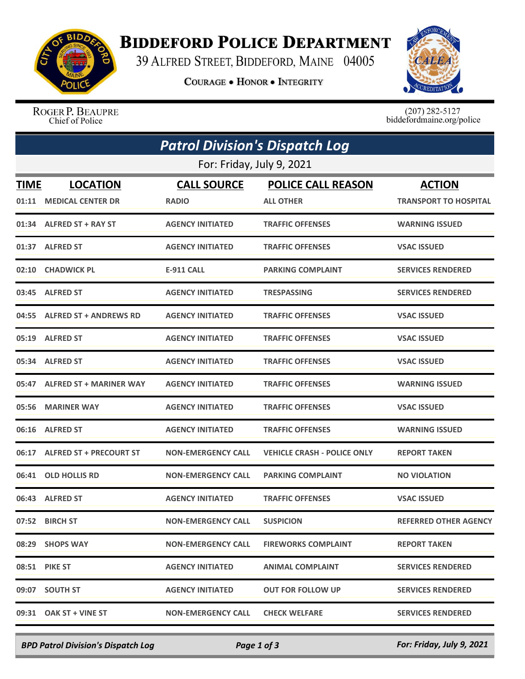

## **BIDDEFORD POLICE DEPARTMENT**

39 ALFRED STREET, BIDDEFORD, MAINE 04005

**COURAGE . HONOR . INTEGRITY** 



ROGER P. BEAUPRE Chief of Police

 $(207)$  282-5127<br>biddefordmaine.org/police

| <b>Patrol Division's Dispatch Log</b> |                                            |                                    |                                               |                                               |  |  |  |
|---------------------------------------|--------------------------------------------|------------------------------------|-----------------------------------------------|-----------------------------------------------|--|--|--|
| For: Friday, July 9, 2021             |                                            |                                    |                                               |                                               |  |  |  |
| <b>TIME</b>                           | <b>LOCATION</b><br>01:11 MEDICAL CENTER DR | <b>CALL SOURCE</b><br><b>RADIO</b> | <b>POLICE CALL REASON</b><br><b>ALL OTHER</b> | <b>ACTION</b><br><b>TRANSPORT TO HOSPITAL</b> |  |  |  |
|                                       | 01:34 ALFRED ST + RAY ST                   | <b>AGENCY INITIATED</b>            | <b>TRAFFIC OFFENSES</b>                       | <b>WARNING ISSUED</b>                         |  |  |  |
|                                       | 01:37 ALFRED ST                            | <b>AGENCY INITIATED</b>            | <b>TRAFFIC OFFENSES</b>                       | <b>VSAC ISSUED</b>                            |  |  |  |
|                                       | 02:10 CHADWICK PL                          | <b>E-911 CALL</b>                  | <b>PARKING COMPLAINT</b>                      | <b>SERVICES RENDERED</b>                      |  |  |  |
|                                       | 03:45 ALFRED ST                            | <b>AGENCY INITIATED</b>            | <b>TRESPASSING</b>                            | <b>SERVICES RENDERED</b>                      |  |  |  |
|                                       | 04:55 ALFRED ST + ANDREWS RD               | <b>AGENCY INITIATED</b>            | <b>TRAFFIC OFFENSES</b>                       | <b>VSAC ISSUED</b>                            |  |  |  |
|                                       | 05:19 ALFRED ST                            | <b>AGENCY INITIATED</b>            | <b>TRAFFIC OFFENSES</b>                       | <b>VSAC ISSUED</b>                            |  |  |  |
|                                       | 05:34 ALFRED ST                            | <b>AGENCY INITIATED</b>            | <b>TRAFFIC OFFENSES</b>                       | <b>VSAC ISSUED</b>                            |  |  |  |
|                                       | 05:47 ALFRED ST + MARINER WAY              | <b>AGENCY INITIATED</b>            | <b>TRAFFIC OFFENSES</b>                       | <b>WARNING ISSUED</b>                         |  |  |  |
|                                       | 05:56 MARINER WAY                          | <b>AGENCY INITIATED</b>            | <b>TRAFFIC OFFENSES</b>                       | <b>VSAC ISSUED</b>                            |  |  |  |
|                                       | 06:16 ALFRED ST                            | <b>AGENCY INITIATED</b>            | <b>TRAFFIC OFFENSES</b>                       | <b>WARNING ISSUED</b>                         |  |  |  |
|                                       | 06:17 ALFRED ST + PRECOURT ST              | <b>NON-EMERGENCY CALL</b>          | <b>VEHICLE CRASH - POLICE ONLY</b>            | <b>REPORT TAKEN</b>                           |  |  |  |
| 06:41                                 | <b>OLD HOLLIS RD</b>                       | <b>NON-EMERGENCY CALL</b>          | <b>PARKING COMPLAINT</b>                      | <b>NO VIOLATION</b>                           |  |  |  |
|                                       | 06:43 ALFRED ST                            | <b>AGENCY INITIATED</b>            | <b>TRAFFIC OFFENSES</b>                       | <b>VSAC ISSUED</b>                            |  |  |  |
|                                       | 07:52 BIRCH ST                             | <b>NON-EMERGENCY CALL</b>          | <b>SUSPICION</b>                              | <b>REFERRED OTHER AGENCY</b>                  |  |  |  |
|                                       | 08:29 SHOPS WAY                            | <b>NON-EMERGENCY CALL</b>          | <b>FIREWORKS COMPLAINT</b>                    | <b>REPORT TAKEN</b>                           |  |  |  |
|                                       | 08:51 PIKE ST                              | <b>AGENCY INITIATED</b>            | <b>ANIMAL COMPLAINT</b>                       | <b>SERVICES RENDERED</b>                      |  |  |  |
|                                       | 09:07 SOUTH ST                             | <b>AGENCY INITIATED</b>            | <b>OUT FOR FOLLOW UP</b>                      | <b>SERVICES RENDERED</b>                      |  |  |  |
|                                       | 09:31 OAK ST + VINE ST                     | <b>NON-EMERGENCY CALL</b>          | <b>CHECK WELFARE</b>                          | <b>SERVICES RENDERED</b>                      |  |  |  |

*BPD Patrol Division's Dispatch Log Page 1 of 3 For: Friday, July 9, 2021*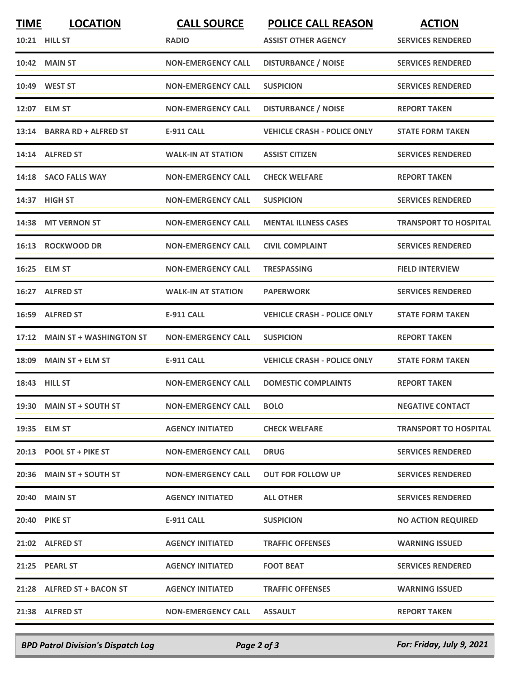| <b>TIME</b> | <b>LOCATION</b>                | <b>CALL SOURCE</b>        | <b>POLICE CALL REASON</b>          | <b>ACTION</b>                |
|-------------|--------------------------------|---------------------------|------------------------------------|------------------------------|
|             | 10:21 HILL ST                  | <b>RADIO</b>              | <b>ASSIST OTHER AGENCY</b>         | <b>SERVICES RENDERED</b>     |
|             | <b>10:42 MAIN ST</b>           | <b>NON-EMERGENCY CALL</b> | <b>DISTURBANCE / NOISE</b>         | <b>SERVICES RENDERED</b>     |
|             | 10:49 WEST ST                  | <b>NON-EMERGENCY CALL</b> | <b>SUSPICION</b>                   | <b>SERVICES RENDERED</b>     |
|             | 12:07 ELM ST                   | <b>NON-EMERGENCY CALL</b> | <b>DISTURBANCE / NOISE</b>         | <b>REPORT TAKEN</b>          |
|             | 13:14 BARRA RD + ALFRED ST     | <b>E-911 CALL</b>         | <b>VEHICLE CRASH - POLICE ONLY</b> | <b>STATE FORM TAKEN</b>      |
|             | 14:14 ALFRED ST                | <b>WALK-IN AT STATION</b> | <b>ASSIST CITIZEN</b>              | <b>SERVICES RENDERED</b>     |
|             | 14:18 SACO FALLS WAY           | <b>NON-EMERGENCY CALL</b> | <b>CHECK WELFARE</b>               | <b>REPORT TAKEN</b>          |
|             | 14:37 HIGH ST                  | <b>NON-EMERGENCY CALL</b> | <b>SUSPICION</b>                   | <b>SERVICES RENDERED</b>     |
|             | 14:38 MT VERNON ST             | <b>NON-EMERGENCY CALL</b> | <b>MENTAL ILLNESS CASES</b>        | <b>TRANSPORT TO HOSPITAL</b> |
|             | 16:13 ROCKWOOD DR              | <b>NON-EMERGENCY CALL</b> | <b>CIVIL COMPLAINT</b>             | <b>SERVICES RENDERED</b>     |
|             | 16:25 ELM ST                   | <b>NON-EMERGENCY CALL</b> | <b>TRESPASSING</b>                 | <b>FIELD INTERVIEW</b>       |
|             | 16:27 ALFRED ST                | <b>WALK-IN AT STATION</b> | <b>PAPERWORK</b>                   | <b>SERVICES RENDERED</b>     |
| 16:59       | <b>ALFRED ST</b>               | <b>E-911 CALL</b>         | <b>VEHICLE CRASH - POLICE ONLY</b> | <b>STATE FORM TAKEN</b>      |
| 17:12       | <b>MAIN ST + WASHINGTON ST</b> | <b>NON-EMERGENCY CALL</b> | <b>SUSPICION</b>                   | <b>REPORT TAKEN</b>          |
| 18:09       | <b>MAIN ST + ELM ST</b>        | <b>E-911 CALL</b>         | <b>VEHICLE CRASH - POLICE ONLY</b> | <b>STATE FORM TAKEN</b>      |
|             | 18:43 HILL ST                  | <b>NON-EMERGENCY CALL</b> | <b>DOMESTIC COMPLAINTS</b>         | <b>REPORT TAKEN</b>          |
|             | 19:30 MAIN ST + SOUTH ST       | <b>NON-EMERGENCY CALL</b> | <b>BOLO</b>                        | <b>NEGATIVE CONTACT</b>      |
|             | 19:35 ELM ST                   | <b>AGENCY INITIATED</b>   | <b>CHECK WELFARE</b>               | <b>TRANSPORT TO HOSPITAL</b> |
|             | 20:13 POOL ST + PIKE ST        | <b>NON-EMERGENCY CALL</b> | <b>DRUG</b>                        | <b>SERVICES RENDERED</b>     |
|             | 20:36 MAIN ST + SOUTH ST       | <b>NON-EMERGENCY CALL</b> | <b>OUT FOR FOLLOW UP</b>           | <b>SERVICES RENDERED</b>     |
|             | <b>20:40 MAIN ST</b>           | <b>AGENCY INITIATED</b>   | <b>ALL OTHER</b>                   | <b>SERVICES RENDERED</b>     |
|             | <b>20:40 PIKE ST</b>           | <b>E-911 CALL</b>         | <b>SUSPICION</b>                   | <b>NO ACTION REQUIRED</b>    |
|             | 21:02 ALFRED ST                | <b>AGENCY INITIATED</b>   | <b>TRAFFIC OFFENSES</b>            | <b>WARNING ISSUED</b>        |
|             | 21:25 PEARL ST                 | <b>AGENCY INITIATED</b>   | <b>FOOT BEAT</b>                   | <b>SERVICES RENDERED</b>     |
|             | 21:28 ALFRED ST + BACON ST     | <b>AGENCY INITIATED</b>   | <b>TRAFFIC OFFENSES</b>            | <b>WARNING ISSUED</b>        |
|             | 21:38 ALFRED ST                | <b>NON-EMERGENCY CALL</b> | <b>ASSAULT</b>                     | <b>REPORT TAKEN</b>          |
|             |                                |                           |                                    |                              |

*BPD Patrol Division's Dispatch Log Page 2 of 3 For: Friday, July 9, 2021*